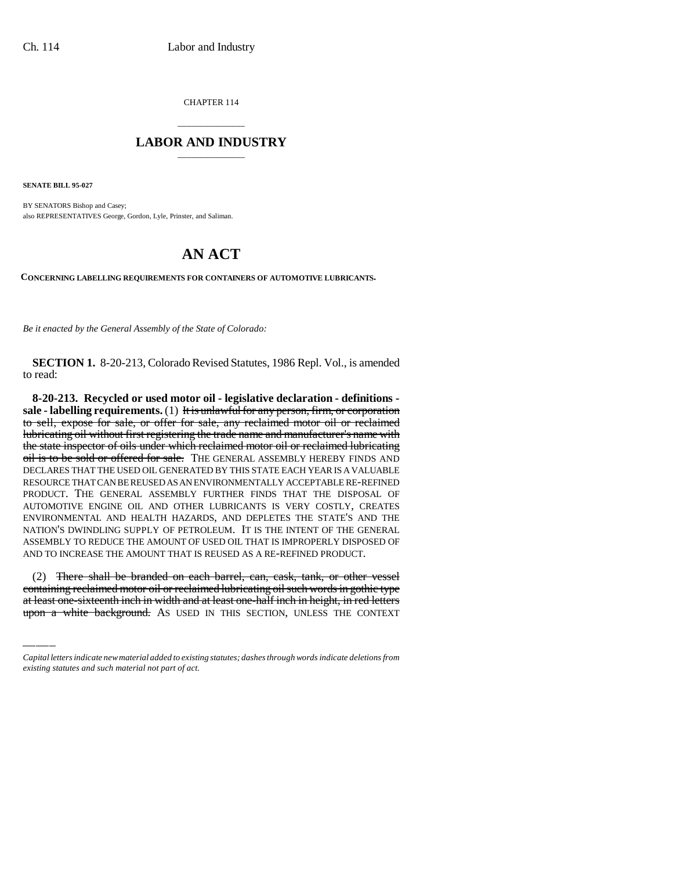CHAPTER 114

## \_\_\_\_\_\_\_\_\_\_\_\_\_\_\_ **LABOR AND INDUSTRY** \_\_\_\_\_\_\_\_\_\_\_\_\_\_\_

**SENATE BILL 95-027**

BY SENATORS Bishop and Casey; also REPRESENTATIVES George, Gordon, Lyle, Prinster, and Saliman.

# **AN ACT**

**CONCERNING LABELLING REQUIREMENTS FOR CONTAINERS OF AUTOMOTIVE LUBRICANTS.**

*Be it enacted by the General Assembly of the State of Colorado:*

**SECTION 1.** 8-20-213, Colorado Revised Statutes, 1986 Repl. Vol., is amended to read:

**8-20-213. Recycled or used motor oil - legislative declaration - definitions sale - labelling requirements.** (1) It is unlawful for any person, firm, or corporation to sell, expose for sale, or offer for sale, any reclaimed motor oil or reclaimed lubricating oil without first registering the trade name and manufacturer's name with the state inspector of oils under which reclaimed motor oil or reclaimed lubricating oil is to be sold or offered for sale. THE GENERAL ASSEMBLY HEREBY FINDS AND DECLARES THAT THE USED OIL GENERATED BY THIS STATE EACH YEAR IS A VALUABLE RESOURCE THAT CAN BE REUSED AS AN ENVIRONMENTALLY ACCEPTABLE RE-REFINED PRODUCT. THE GENERAL ASSEMBLY FURTHER FINDS THAT THE DISPOSAL OF AUTOMOTIVE ENGINE OIL AND OTHER LUBRICANTS IS VERY COSTLY, CREATES ENVIRONMENTAL AND HEALTH HAZARDS, AND DEPLETES THE STATE'S AND THE NATION'S DWINDLING SUPPLY OF PETROLEUM. IT IS THE INTENT OF THE GENERAL ASSEMBLY TO REDUCE THE AMOUNT OF USED OIL THAT IS IMPROPERLY DISPOSED OF AND TO INCREASE THE AMOUNT THAT IS REUSED AS A RE-REFINED PRODUCT.

(2) There shall be branded on each barrel, can, cask, tank, or other vessel containing reclaimed motor oil or reclaimed lubricating oil such words in gothic type at least one-sixteenth inch in width and at least one-half inch in height, in red letters upon a white background. As USED IN THIS SECTION, UNLESS THE CONTEXT

*Capital letters indicate new material added to existing statutes; dashes through words indicate deletions from existing statutes and such material not part of act.*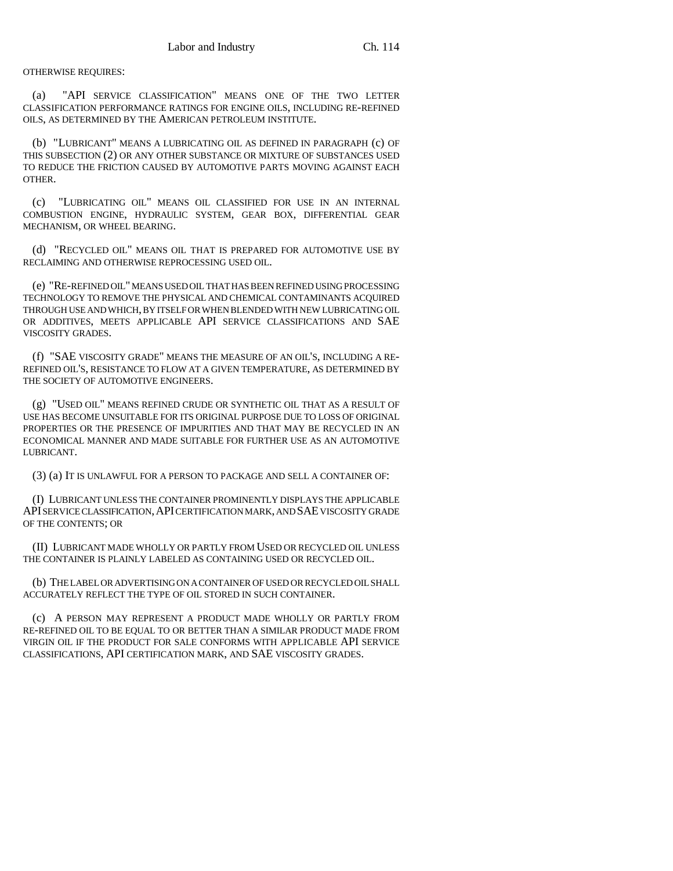#### OTHERWISE REQUIRES:

(a) "API SERVICE CLASSIFICATION" MEANS ONE OF THE TWO LETTER CLASSIFICATION PERFORMANCE RATINGS FOR ENGINE OILS, INCLUDING RE-REFINED OILS, AS DETERMINED BY THE AMERICAN PETROLEUM INSTITUTE.

(b) "LUBRICANT" MEANS A LUBRICATING OIL AS DEFINED IN PARAGRAPH (c) OF THIS SUBSECTION (2) OR ANY OTHER SUBSTANCE OR MIXTURE OF SUBSTANCES USED TO REDUCE THE FRICTION CAUSED BY AUTOMOTIVE PARTS MOVING AGAINST EACH OTHER.

(c) "LUBRICATING OIL" MEANS OIL CLASSIFIED FOR USE IN AN INTERNAL COMBUSTION ENGINE, HYDRAULIC SYSTEM, GEAR BOX, DIFFERENTIAL GEAR MECHANISM, OR WHEEL BEARING.

(d) "RECYCLED OIL" MEANS OIL THAT IS PREPARED FOR AUTOMOTIVE USE BY RECLAIMING AND OTHERWISE REPROCESSING USED OIL.

(e) "RE-REFINED OIL" MEANS USED OIL THAT HAS BEEN REFINED USING PROCESSING TECHNOLOGY TO REMOVE THE PHYSICAL AND CHEMICAL CONTAMINANTS ACQUIRED THROUGH USE AND WHICH, BY ITSELF OR WHEN BLENDED WITH NEW LUBRICATING OIL OR ADDITIVES, MEETS APPLICABLE API SERVICE CLASSIFICATIONS AND SAE VISCOSITY GRADES.

(f) "SAE VISCOSITY GRADE" MEANS THE MEASURE OF AN OIL'S, INCLUDING A RE-REFINED OIL'S, RESISTANCE TO FLOW AT A GIVEN TEMPERATURE, AS DETERMINED BY THE SOCIETY OF AUTOMOTIVE ENGINEERS.

(g) "USED OIL" MEANS REFINED CRUDE OR SYNTHETIC OIL THAT AS A RESULT OF USE HAS BECOME UNSUITABLE FOR ITS ORIGINAL PURPOSE DUE TO LOSS OF ORIGINAL PROPERTIES OR THE PRESENCE OF IMPURITIES AND THAT MAY BE RECYCLED IN AN ECONOMICAL MANNER AND MADE SUITABLE FOR FURTHER USE AS AN AUTOMOTIVE LUBRICANT.

(3) (a) IT IS UNLAWFUL FOR A PERSON TO PACKAGE AND SELL A CONTAINER OF:

(I) LUBRICANT UNLESS THE CONTAINER PROMINENTLY DISPLAYS THE APPLICABLE API SERVICE CLASSIFICATION,API CERTIFICATION MARK, AND SAE VISCOSITY GRADE OF THE CONTENTS; OR

(II) LUBRICANT MADE WHOLLY OR PARTLY FROM USED OR RECYCLED OIL UNLESS THE CONTAINER IS PLAINLY LABELED AS CONTAINING USED OR RECYCLED OIL.

(b) THE LABEL OR ADVERTISING ON A CONTAINER OF USED OR RECYCLED OIL SHALL ACCURATELY REFLECT THE TYPE OF OIL STORED IN SUCH CONTAINER.

(c) A PERSON MAY REPRESENT A PRODUCT MADE WHOLLY OR PARTLY FROM RE-REFINED OIL TO BE EQUAL TO OR BETTER THAN A SIMILAR PRODUCT MADE FROM VIRGIN OIL IF THE PRODUCT FOR SALE CONFORMS WITH APPLICABLE API SERVICE CLASSIFICATIONS, API CERTIFICATION MARK, AND SAE VISCOSITY GRADES.